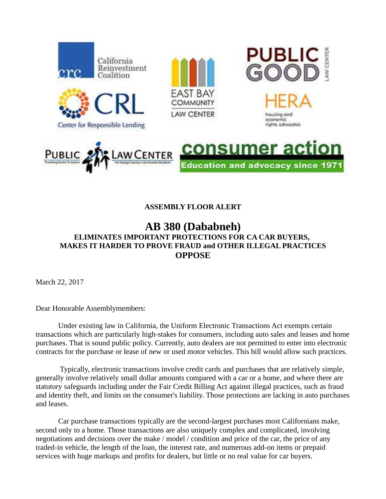

## **ASSEMBLY FLOOR ALERT**

## **AB 380 (Dababneh) ELIMINATES IMPORTANT PROTECTIONS FOR CA CAR BUYERS, MAKES IT HARDER TO PROVE FRAUD and OTHER ILLEGAL PRACTICES OPPOSE**

March 22, 2017

Dear Honorable Assemblymembers:

Under existing law in California, the Uniform Electronic Transactions Act exempts certain transactions which are particularly high-stakes for consumers, including auto sales and leases and home purchases. That is sound public policy. Currently, auto dealers are not permitted to enter into electronic contracts for the purchase or lease of new or used motor vehicles. This bill would allow such practices.

 Typically, electronic transactions involve credit cards and purchases that are relatively simple, generally involve relatively small dollar amounts compared with a car or a home, and where there are statutory safeguards including under the Fair Credit Billing Act against illegal practices, such as fraud and identity theft, and limits on the consumer's liability. Those protections are lacking in auto purchases and leases.

Car purchase transactions typically are the second-largest purchases most Californians make, second only to a home. Those transactions are also uniquely complex and complicated, involving negotiations and decisions over the make / model / condition and price of the car, the price of any traded-in vehicle, the length of the loan, the interest rate, and numerous add-on items or prepaid services with huge markups and profits for dealers, but little or no real value for car buyers.